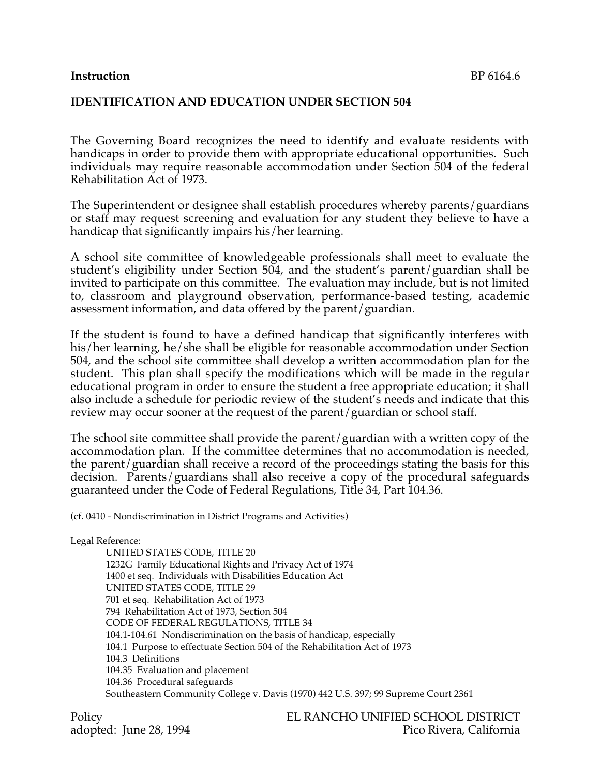#### **Instruction** BP 6164.6

## **IDENTIFICATION AND EDUCATION UNDER SECTION 504**

The Governing Board recognizes the need to identify and evaluate residents with handicaps in order to provide them with appropriate educational opportunities. Such individuals may require reasonable accommodation under Section 504 of the federal Rehabilitation Act of 1973.

The Superintendent or designee shall establish procedures whereby parents/guardians or staff may request screening and evaluation for any student they believe to have a handicap that significantly impairs his/her learning.

A school site committee of knowledgeable professionals shall meet to evaluate the student's eligibility under Section 504, and the student's parent/guardian shall be invited to participate on this committee. The evaluation may include, but is not limited to, classroom and playground observation, performance-based testing, academic assessment information, and data offered by the parent/guardian.

If the student is found to have a defined handicap that significantly interferes with his/her learning, he/she shall be eligible for reasonable accommodation under Section 504, and the school site committee shall develop a written accommodation plan for the student. This plan shall specify the modifications which will be made in the regular educational program in order to ensure the student a free appropriate education; it shall also include a schedule for periodic review of the student's needs and indicate that this review may occur sooner at the request of the parent/guardian or school staff.

The school site committee shall provide the parent/guardian with a written copy of the accommodation plan. If the committee determines that no accommodation is needed, the parent/guardian shall receive a record of the proceedings stating the basis for this decision. Parents/guardians shall also receive a copy of the procedural safeguards guaranteed under the Code of Federal Regulations, Title 34, Part 104.36.

(cf. 0410 - Nondiscrimination in District Programs and Activities)

Legal Reference: UNITED STATES CODE, TITLE 20 1232G Family Educational Rights and Privacy Act of 1974 1400 et seq. Individuals with Disabilities Education Act UNITED STATES CODE, TITLE 29 701 et seq. Rehabilitation Act of 1973 794 Rehabilitation Act of 1973, Section 504 CODE OF FEDERAL REGULATIONS, TITLE 34 104.1-104.61 Nondiscrimination on the basis of handicap, especially 104.1 Purpose to effectuate Section 504 of the Rehabilitation Act of 1973 104.3 Definitions 104.35 Evaluation and placement 104.36 Procedural safeguards Southeastern Community College v. Davis (1970) 442 U.S. 397; 99 Supreme Court 2361

Policy EL RANCHO UNIFIED SCHOOL DISTRICT adopted: June 28, 1994 Pico Rivera, California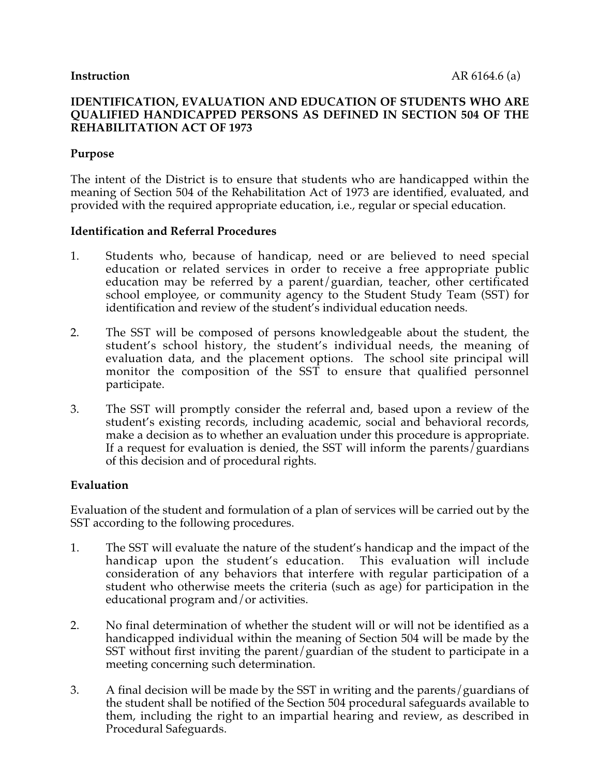## **Purpose**

The intent of the District is to ensure that students who are handicapped within the meaning of Section 504 of the Rehabilitation Act of 1973 are identified, evaluated, and provided with the required appropriate education, i.e., regular or special education.

#### **Identification and Referral Procedures**

- 1. Students who, because of handicap, need or are believed to need special education or related services in order to receive a free appropriate public education may be referred by a parent/guardian, teacher, other certificated school employee, or community agency to the Student Study Team (SST) for identification and review of the student's individual education needs.
- 2. The SST will be composed of persons knowledgeable about the student, the student's school history, the student's individual needs, the meaning of evaluation data, and the placement options. The school site principal will monitor the composition of the SST to ensure that qualified personnel participate.
- 3. The SST will promptly consider the referral and, based upon a review of the student's existing records, including academic, social and behavioral records, make a decision as to whether an evaluation under this procedure is appropriate. If a request for evaluation is denied, the SST will inform the parents/guardians of this decision and of procedural rights.

#### **Evaluation**

Evaluation of the student and formulation of a plan of services will be carried out by the SST according to the following procedures.

- 1. The SST will evaluate the nature of the student's handicap and the impact of the handicap upon the student's education. This evaluation will include consideration of any behaviors that interfere with regular participation of a student who otherwise meets the criteria (such as age) for participation in the educational program and/or activities.
- 2. No final determination of whether the student will or will not be identified as a handicapped individual within the meaning of Section 504 will be made by the SST without first inviting the parent/guardian of the student to participate in a meeting concerning such determination.
- 3. A final decision will be made by the SST in writing and the parents/guardians of the student shall be notified of the Section 504 procedural safeguards available to them, including the right to an impartial hearing and review, as described in Procedural Safeguards.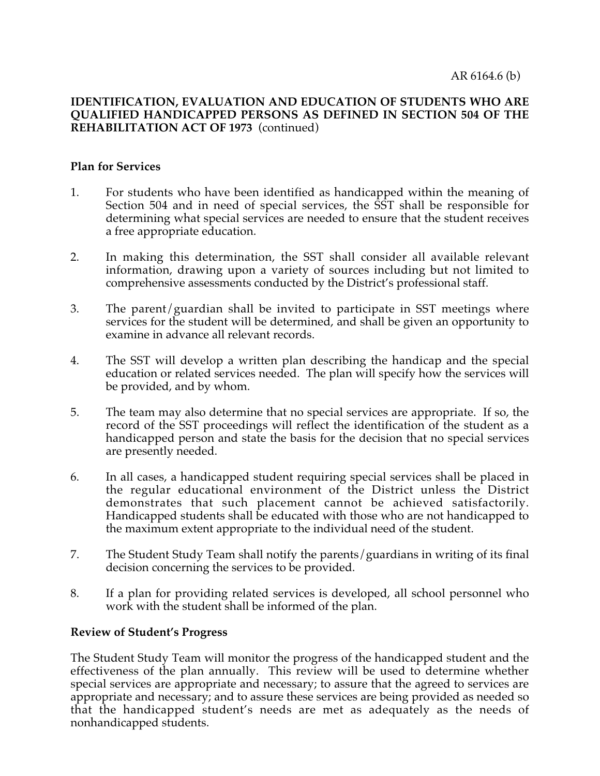## **Plan for Services**

- 1. For students who have been identified as handicapped within the meaning of Section 504 and in need of special services, the SST shall be responsible for determining what special services are needed to ensure that the student receives a free appropriate education.
- 2. In making this determination, the SST shall consider all available relevant information, drawing upon a variety of sources including but not limited to comprehensive assessments conducted by the District's professional staff.
- 3. The parent/guardian shall be invited to participate in SST meetings where services for the student will be determined, and shall be given an opportunity to examine in advance all relevant records.
- 4. The SST will develop a written plan describing the handicap and the special education or related services needed. The plan will specify how the services will be provided, and by whom.
- 5. The team may also determine that no special services are appropriate. If so, the record of the SST proceedings will reflect the identification of the student as a handicapped person and state the basis for the decision that no special services are presently needed.
- 6. In all cases, a handicapped student requiring special services shall be placed in the regular educational environment of the District unless the District demonstrates that such placement cannot be achieved satisfactorily. Handicapped students shall be educated with those who are not handicapped to the maximum extent appropriate to the individual need of the student.
- 7. The Student Study Team shall notify the parents/guardians in writing of its final decision concerning the services to be provided.
- 8. If a plan for providing related services is developed, all school personnel who work with the student shall be informed of the plan.

# **Review of Student's Progress**

The Student Study Team will monitor the progress of the handicapped student and the effectiveness of the plan annually. This review will be used to determine whether special services are appropriate and necessary; to assure that the agreed to services are appropriate and necessary; and to assure these services are being provided as needed so that the handicapped student's needs are met as adequately as the needs of nonhandicapped students.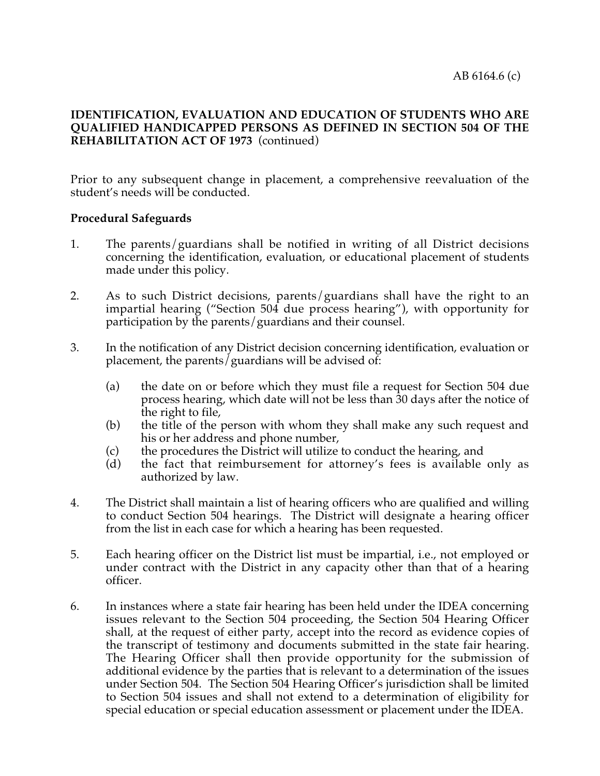Prior to any subsequent change in placement, a comprehensive reevaluation of the student's needs will be conducted.

## **Procedural Safeguards**

- 1. The parents/guardians shall be notified in writing of all District decisions concerning the identification, evaluation, or educational placement of students made under this policy.
- 2. As to such District decisions, parents/guardians shall have the right to an impartial hearing ("Section 504 due process hearing"), with opportunity for participation by the parents/guardians and their counsel.
- 3. In the notification of any District decision concerning identification, evaluation or placement, the parents/guardians will be advised of:
	- (a) the date on or before which they must file a request for Section 504 due process hearing, which date will not be less than 30 days after the notice of the right to file,
	- (b) the title of the person with whom they shall make any such request and his or her address and phone number,
	- (c) the procedures the District will utilize to conduct the hearing, and
	- (d) the fact that reimbursement for attorney's fees is available only as authorized by law.
- 4. The District shall maintain a list of hearing officers who are qualified and willing to conduct Section 504 hearings. The District will designate a hearing officer from the list in each case for which a hearing has been requested.
- 5. Each hearing officer on the District list must be impartial, i.e., not employed or under contract with the District in any capacity other than that of a hearing officer.
- 6. In instances where a state fair hearing has been held under the IDEA concerning issues relevant to the Section 504 proceeding, the Section 504 Hearing Officer shall, at the request of either party, accept into the record as evidence copies of the transcript of testimony and documents submitted in the state fair hearing. The Hearing Officer shall then provide opportunity for the submission of additional evidence by the parties that is relevant to a determination of the issues under Section 504. The Section 504 Hearing Officer's jurisdiction shall be limited to Section 504 issues and shall not extend to a determination of eligibility for special education or special education assessment or placement under the IDEA.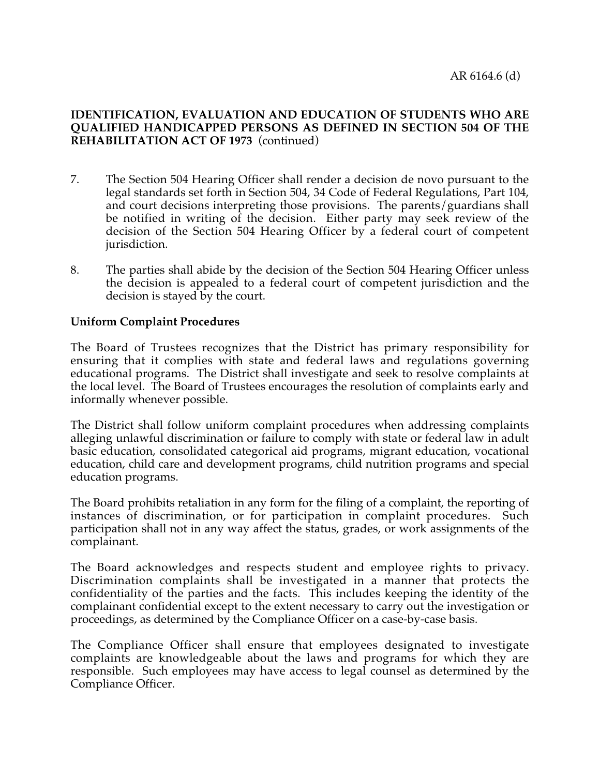- 7. The Section 504 Hearing Officer shall render a decision de novo pursuant to the legal standards set forth in Section 504, 34 Code of Federal Regulations, Part 104, and court decisions interpreting those provisions. The parents/guardians shall be notified in writing of the decision. Either party may seek review of the decision of the Section 504 Hearing Officer by a federal court of competent jurisdiction.
- 8. The parties shall abide by the decision of the Section 504 Hearing Officer unless the decision is appealed to a federal court of competent jurisdiction and the decision is stayed by the court.

## **Uniform Complaint Procedures**

The Board of Trustees recognizes that the District has primary responsibility for ensuring that it complies with state and federal laws and regulations governing educational programs. The District shall investigate and seek to resolve complaints at the local level. The Board of Trustees encourages the resolution of complaints early and informally whenever possible.

The District shall follow uniform complaint procedures when addressing complaints alleging unlawful discrimination or failure to comply with state or federal law in adult basic education, consolidated categorical aid programs, migrant education, vocational education, child care and development programs, child nutrition programs and special education programs.

The Board prohibits retaliation in any form for the filing of a complaint, the reporting of instances of discrimination, or for participation in complaint procedures. Such participation shall not in any way affect the status, grades, or work assignments of the complainant.

The Board acknowledges and respects student and employee rights to privacy. Discrimination complaints shall be investigated in a manner that protects the confidentiality of the parties and the facts. This includes keeping the identity of the complainant confidential except to the extent necessary to carry out the investigation or proceedings, as determined by the Compliance Officer on a case-by-case basis.

The Compliance Officer shall ensure that employees designated to investigate complaints are knowledgeable about the laws and programs for which they are responsible. Such employees may have access to legal counsel as determined by the Compliance Officer.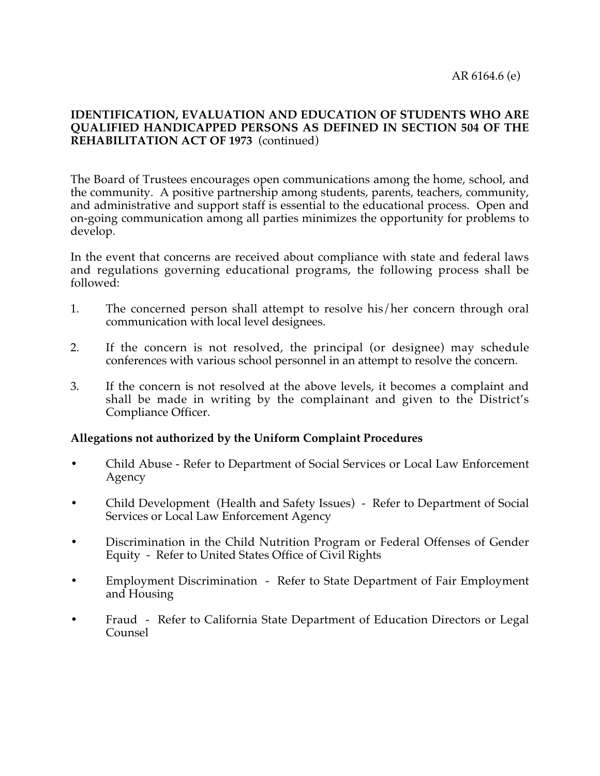The Board of Trustees encourages open communications among the home, school, and the community. A positive partnership among students, parents, teachers, community, and administrative and support staff is essential to the educational process. Open and on-going communication among all parties minimizes the opportunity for problems to develop.

In the event that concerns are received about compliance with state and federal laws and regulations governing educational programs, the following process shall be followed:

- 1. The concerned person shall attempt to resolve his/her concern through oral communication with local level designees.
- 2. If the concern is not resolved, the principal (or designee) may schedule conferences with various school personnel in an attempt to resolve the concern.
- 3. If the concern is not resolved at the above levels, it becomes a complaint and shall be made in writing by the complainant and given to the District's Compliance Officer.

# **Allegations not authorized by the Uniform Complaint Procedures**

- Child Abuse Refer to Department of Social Services or Local Law Enforcement Agency
- Child Development (Health and Safety Issues) Refer to Department of Social Services or Local Law Enforcement Agency
- Discrimination in the Child Nutrition Program or Federal Offenses of Gender Equity - Refer to United States Office of Civil Rights
- Employment Discrimination Refer to State Department of Fair Employment and Housing
- Fraud Refer to California State Department of Education Directors or Legal Counsel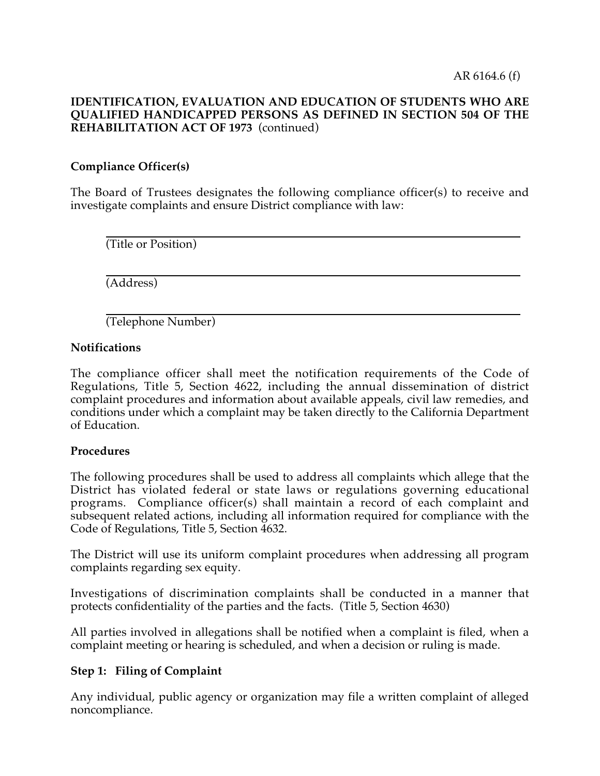l

### **IDENTIFICATION, EVALUATION AND EDUCATION OF STUDENTS WHO ARE QUALIFIED HANDICAPPED PERSONS AS DEFINED IN SECTION 504 OF THE REHABILITATION ACT OF 1973** (continued)

# **Compliance Officer(s)**

The Board of Trustees designates the following compliance officer(s) to receive and investigate complaints and ensure District compliance with law:

 $\overline{a}$ (Title or Position)

 $\overline{a}$ (Address)

(Telephone Number)

## **Notifications**

The compliance officer shall meet the notification requirements of the Code of Regulations, Title 5, Section 4622, including the annual dissemination of district complaint procedures and information about available appeals, civil law remedies, and conditions under which a complaint may be taken directly to the California Department of Education.

#### **Procedures**

The following procedures shall be used to address all complaints which allege that the District has violated federal or state laws or regulations governing educational programs. Compliance officer(s) shall maintain a record of each complaint and subsequent related actions, including all information required for compliance with the Code of Regulations, Title 5, Section 4632.

The District will use its uniform complaint procedures when addressing all program complaints regarding sex equity.

Investigations of discrimination complaints shall be conducted in a manner that protects confidentiality of the parties and the facts. (Title 5, Section 4630)

All parties involved in allegations shall be notified when a complaint is filed, when a complaint meeting or hearing is scheduled, and when a decision or ruling is made.

# **Step 1: Filing of Complaint**

Any individual, public agency or organization may file a written complaint of alleged noncompliance.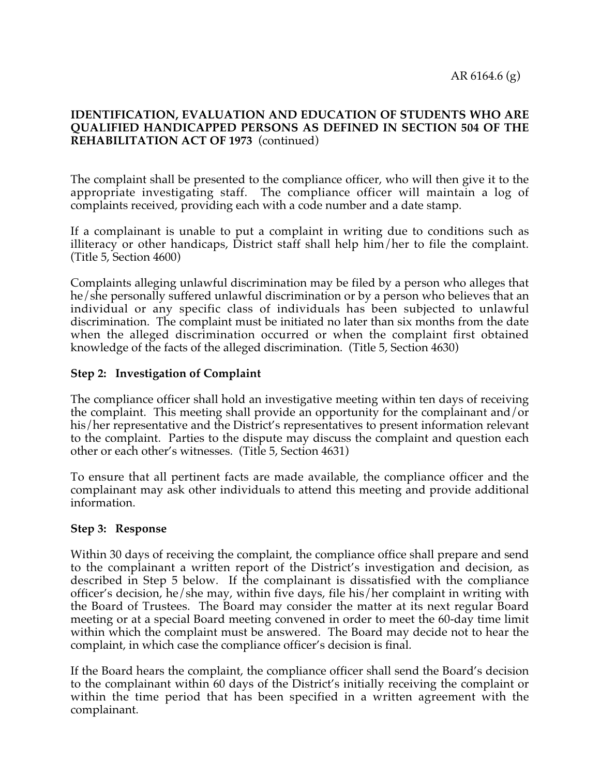The complaint shall be presented to the compliance officer, who will then give it to the appropriate investigating staff. The compliance officer will maintain a log of complaints received, providing each with a code number and a date stamp.

If a complainant is unable to put a complaint in writing due to conditions such as illiteracy or other handicaps, District staff shall help him/her to file the complaint. (Title 5, Section 4600)

Complaints alleging unlawful discrimination may be filed by a person who alleges that he/she personally suffered unlawful discrimination or by a person who believes that an individual or any specific class of individuals has been subjected to unlawful discrimination. The complaint must be initiated no later than six months from the date when the alleged discrimination occurred or when the complaint first obtained knowledge of the facts of the alleged discrimination. (Title 5, Section 4630)

# **Step 2: Investigation of Complaint**

The compliance officer shall hold an investigative meeting within ten days of receiving the complaint. This meeting shall provide an opportunity for the complainant and/or his/her representative and the District's representatives to present information relevant to the complaint. Parties to the dispute may discuss the complaint and question each other or each other's witnesses. (Title 5, Section 4631)

To ensure that all pertinent facts are made available, the compliance officer and the complainant may ask other individuals to attend this meeting and provide additional information.

#### **Step 3: Response**

Within 30 days of receiving the complaint, the compliance office shall prepare and send to the complainant a written report of the District's investigation and decision, as described in Step 5 below. If the complainant is dissatisfied with the compliance officer's decision, he/she may, within five days, file his/her complaint in writing with the Board of Trustees. The Board may consider the matter at its next regular Board meeting or at a special Board meeting convened in order to meet the 60-day time limit within which the complaint must be answered. The Board may decide not to hear the complaint, in which case the compliance officer's decision is final.

If the Board hears the complaint, the compliance officer shall send the Board's decision to the complainant within 60 days of the District's initially receiving the complaint or within the time period that has been specified in a written agreement with the complainant.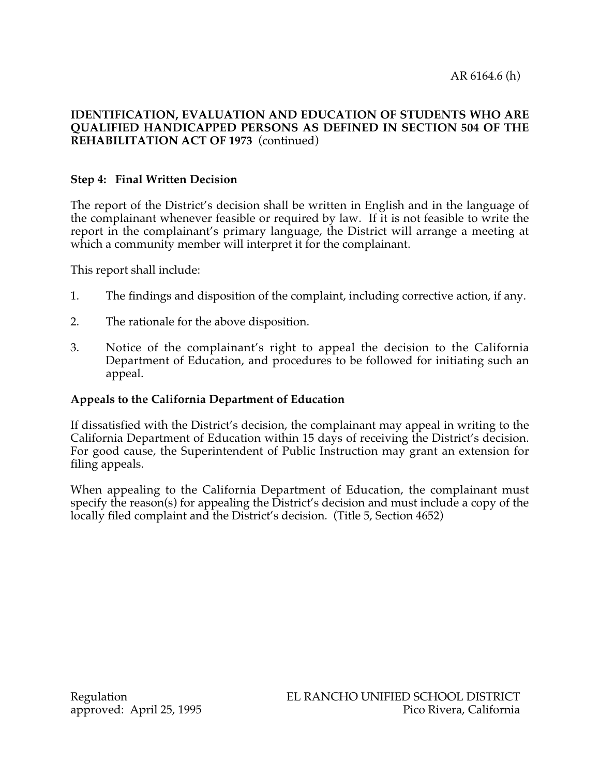# **Step 4: Final Written Decision**

The report of the District's decision shall be written in English and in the language of the complainant whenever feasible or required by law. If it is not feasible to write the report in the complainant's primary language, the District will arrange a meeting at which a community member will interpret it for the complainant.

This report shall include:

- 1. The findings and disposition of the complaint, including corrective action, if any.
- 2. The rationale for the above disposition.
- 3. Notice of the complainant's right to appeal the decision to the California Department of Education, and procedures to be followed for initiating such an appeal.

# **Appeals to the California Department of Education**

If dissatisfied with the District's decision, the complainant may appeal in writing to the California Department of Education within 15 days of receiving the District's decision. For good cause, the Superintendent of Public Instruction may grant an extension for filing appeals.

When appealing to the California Department of Education, the complainant must specify the reason(s) for appealing the District's decision and must include a copy of the locally filed complaint and the District's decision. (Title 5, Section 4652)